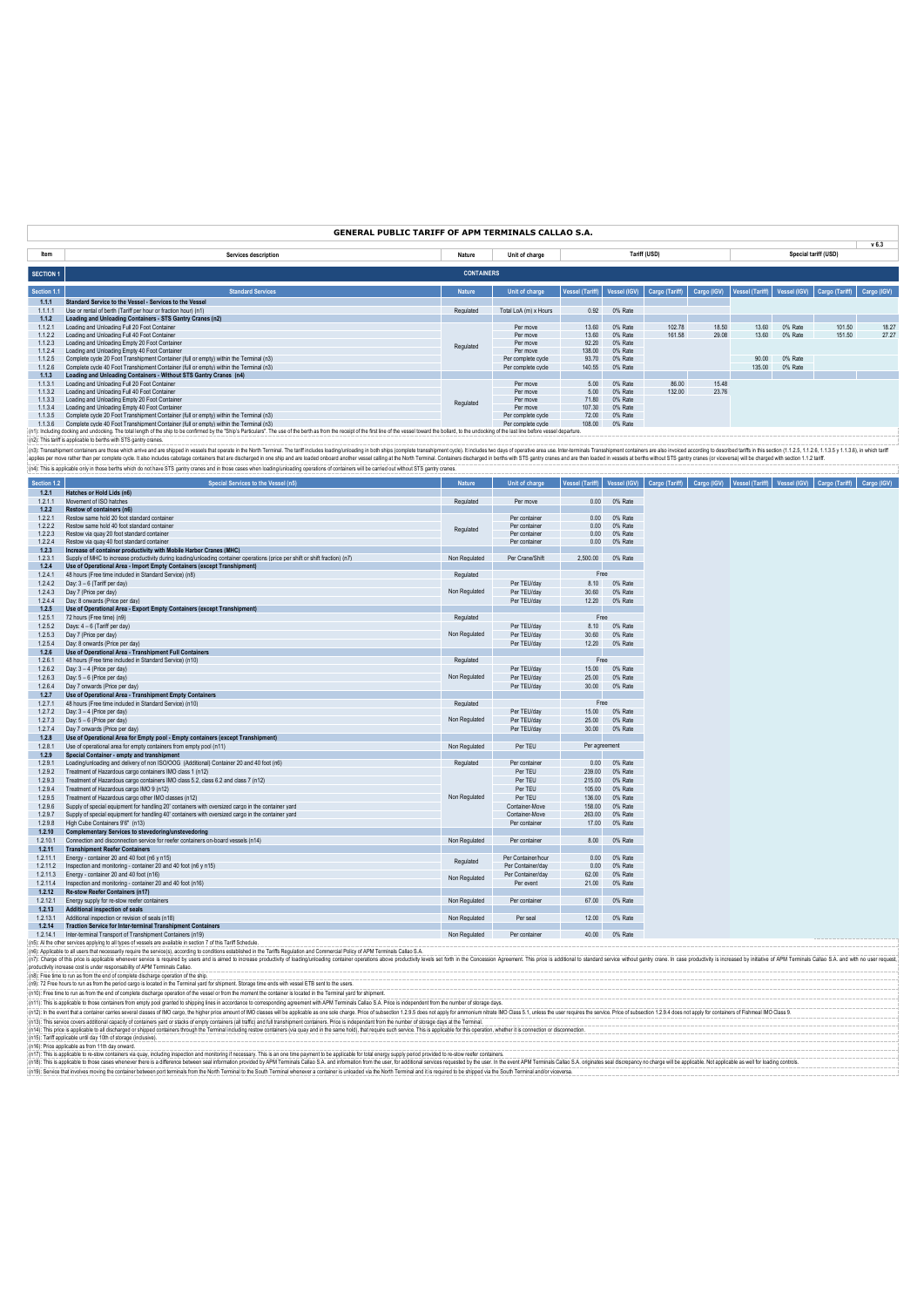# **GENERAL PUBLIC TARIFF OF APM TERMINALS CALLAO S.A.**

|                  |                                                                                                                                                                                                                                |                   |                       |                 |              |                |             |                              |         |                      | v <sub>6.3</sub> |
|------------------|--------------------------------------------------------------------------------------------------------------------------------------------------------------------------------------------------------------------------------|-------------------|-----------------------|-----------------|--------------|----------------|-------------|------------------------------|---------|----------------------|------------------|
| Item             | Services description                                                                                                                                                                                                           | Nature            | Unit of charge        |                 |              | Tariff (USD)   |             |                              |         | Special tariff (USD) |                  |
| <b>SECTION 1</b> |                                                                                                                                                                                                                                | <b>CONTAINERS</b> |                       |                 |              |                |             |                              |         |                      |                  |
| Section 1.1      | <b>Standard Services</b>                                                                                                                                                                                                       | <b>Nature</b>     | Unit of charge        | Vessel (Tariff) | Vessel (IGV) | Cargo (Tariff) | Cargo (IGV) | Vessel (Tariff) Vessel (IGV) |         | Cargo (Tariff)       | Cargo (IGV)      |
| 1.1.1            | Standard Service to the Vessel - Services to the Vessel                                                                                                                                                                        |                   |                       |                 |              |                |             |                              |         |                      |                  |
| $1.1.1$ .        | Use or rental of berth (Tariff per hour or fraction hour) (n1)                                                                                                                                                                 | Regulated         | Total LoA (m) x Hours | 0.92            | 0% Rate      |                |             |                              |         |                      |                  |
| 1.1.2            | Loading and Unloading Containers - STS Gantry Cranes (n2)                                                                                                                                                                      |                   |                       |                 |              |                |             |                              |         |                      |                  |
| 1.1.2.1          | Loading and Unloading Full 20 Foot Container                                                                                                                                                                                   |                   | Per move              | 13.60           | 0% Rate      | 102.78         | 18.50       | 13.60                        | 0% Rate | 101.50               | 18.27            |
| 1122             | Loading and Unloading Full 40 Foot Container                                                                                                                                                                                   | Regulated         | Per move              | 13.60           | 0% Rate      | 161.58         | 29.08       | 13.60                        | 0% Rate | 151.50               | 27.27            |
| 1.1.2.3          | Loading and Unloading Empty 20 Foot Container                                                                                                                                                                                  |                   | Per move              | 92.20           | 0% Rate      |                |             |                              |         |                      |                  |
| 1.1.2.4          | Loading and Unloading Empty 40 Foot Container                                                                                                                                                                                  |                   | Per move              | 138.00          | 0% Rate      |                |             |                              |         |                      |                  |
| 1.1.2.5          | Complete cycle 20 Foot Transhipment Container (full or empty) within the Terminal (n3)                                                                                                                                         |                   | Per complete cycle    | 93.70           | 0% Rate      |                |             | 90.00                        | 0% Rate |                      |                  |
| 1.1.2.6          | Complete cycle 40 Foot Transhipment Container (full or empty) within the Terminal (n3)                                                                                                                                         |                   | Per complete cycle    | 140.55          | 0% Rate      |                |             | 135.00                       | 0% Rate |                      |                  |
| 1.1.3            | Loading and Unloading Containers - Without STS Gantry Cranes (n4)                                                                                                                                                              |                   |                       |                 |              |                |             |                              |         |                      |                  |
| 1131             | Loading and Unloading Full 20 Foot Container                                                                                                                                                                                   |                   | Per move              | 5.00            | 0% Rate      | 86.00          | 15.48       |                              |         |                      |                  |
| 1132             | Loading and Unloading Full 40 Foot Container                                                                                                                                                                                   |                   | Per move              | 5.00            | 0% Rate      | 132.00         | 23.76       |                              |         |                      |                  |
| 1133             | Loading and Unloading Empty 20 Foot Container                                                                                                                                                                                  | Regulated         | Per move              | 71.80           | 0% Rate      |                |             |                              |         |                      |                  |
| 1.1.3.4          | Loading and Unloading Empty 40 Foot Container                                                                                                                                                                                  |                   | Per move              | 107.30          | 0% Rate      |                |             |                              |         |                      |                  |
| 1135             | Complete cycle 20 Foot Transhipment Container (full or empty) within the Terminal (n3)                                                                                                                                         |                   | Per complete cycle    | 72.00           | 0% Rate      |                |             |                              |         |                      |                  |
| 1136             | Complete cycle 40 Foot Transhipment Container (full or empty) within the Terminal (n3)                                                                                                                                         |                   | Per complete cycle    | 108.00          | 0% Rate      |                |             |                              |         |                      |                  |
|                  | : (n1): Including docking and undocking. The total length of the ship to be confirmed by the "Ship's Particulars". The use of the berth as from the receipt of the first line of the vessel toward the bollard, to the undocki |                   |                       |                 |              |                |             |                              |         |                      |                  |
|                  | Cafts This toolf is continuing to booths with CTC contex crosses.                                                                                                                                                              |                   |                       |                 |              |                |             |                              |         |                      |                  |

(n2): This barifis applicable to beths with STS gantly cranes.<br>(n3): Transformation and a mail and are shipped in vessel that perale in the Noth Teminal. The barifi includes bading unloading in both ships (complete branshi (n4): This is applicable only in those berths which do not have STS gantry cranes and in those cases when loading/unloading operations of containers will be carried out without STS gantry cranes.

| Section 1.2          | Special Services to the Vessel (n5)                                                                                                             | <b>Nature</b> | Unit of charge                 | <b>Vessel (Tariff)</b> |         | Vessel (IGV) Cargo (Tariff) | Cargo (IGV)   Vessel (Tariff)   Vessel (IGV)   Cargo (Tariff) |  | Cargo (IGV) |
|----------------------|-------------------------------------------------------------------------------------------------------------------------------------------------|---------------|--------------------------------|------------------------|---------|-----------------------------|---------------------------------------------------------------|--|-------------|
| 1.2.1                | Hatches or Hold Lids (n6)                                                                                                                       |               |                                |                        |         |                             |                                                               |  |             |
| 1.2.1.1              | Movement of ISO hatches                                                                                                                         | Regulated     | Per move                       | 0.00                   | 0% Rate |                             |                                                               |  |             |
| 1.2.2                | Restow of containers (n6)                                                                                                                       |               |                                |                        |         |                             |                                                               |  |             |
| 1.2.2.1              | Restow same hold 20 foot standard container                                                                                                     |               | Per container                  | 0.00                   | 0% Rate |                             |                                                               |  |             |
| 1.2.2.2              | Restow same hold 40 foot standard container                                                                                                     | Regulated     | Per container                  | 0.00                   | 0% Rate |                             |                                                               |  |             |
| 1.2.2.3              | Restow via quay 20 foot standard container                                                                                                      |               | Per container                  | 0.00                   | 0% Rate |                             |                                                               |  |             |
| 1.2.2.4              | Restow via quay 40 foot standard container                                                                                                      |               | Per container                  | 0.00                   | 0% Rate |                             |                                                               |  |             |
| 1.2.3                | Increase of container productivity with Mobile Harbor Cranes (MHC)                                                                              |               |                                |                        |         |                             |                                                               |  |             |
| 1.2.3.1              | Supply of MHC to increase productivity during loading/unloading container operations (price per shift or shift fraction) (n7)                   | Non Regulated | Per Crane/Shift                | 2,500.00               | 0% Rate |                             |                                                               |  |             |
| 1.2.4                | Use of Operational Area - Import Empty Containers (except Transhipment)                                                                         | Regulated     |                                | Free                   |         |                             |                                                               |  |             |
| 1.2.4.1<br>1.2.4.2   | 48 hours (Free time included in Standard Service) (n8)<br>Day: 3 - 6 (Tariff per day)                                                           |               | Per TEU/day                    | 8.10                   | 0% Rate |                             |                                                               |  |             |
|                      | Day 7 (Price per day)                                                                                                                           | Non Regulated | Per TEU/day                    | 30.60                  | 0% Rate |                             |                                                               |  |             |
| 1.2.4.3              |                                                                                                                                                 |               |                                |                        |         |                             |                                                               |  |             |
| 1.2.4.4<br>1.2.5     | Day: 8 onwards (Price per day)<br>Use of Operational Area - Export Empty Containers (except Transhipment)                                       |               | Per TEU/day                    | 12.20                  | 0% Rate |                             |                                                               |  |             |
|                      |                                                                                                                                                 | Regulated     |                                | Free                   |         |                             |                                                               |  |             |
| 1.2.5.1              | 72 hours (Free time) (n9)                                                                                                                       |               |                                |                        |         |                             |                                                               |  |             |
| 1.2.5.2              | Days: 4 - 6 (Tariff per day)                                                                                                                    | Non Regulated | Per TEU/day                    | 8.10                   | 0% Rate |                             |                                                               |  |             |
| 1.2.5.3              | Day 7 (Price per day)                                                                                                                           |               | Per TEU/dav                    | 30.60                  | 0% Rate |                             |                                                               |  |             |
| 1.2.5.4              | Day: 8 onwards (Price per day)                                                                                                                  |               | Per TEU/day                    | 12.20                  | 0% Rate |                             |                                                               |  |             |
| 1.2.6                | Use of Operational Area - Transhipment Full Containers                                                                                          |               |                                | Free                   |         |                             |                                                               |  |             |
| 1.2.6.1              | 48 hours (Free time included in Standard Service) (n10)                                                                                         | Regulated     |                                |                        |         |                             |                                                               |  |             |
| 1.2.6.2              | Day: 3 - 4 (Price per day)                                                                                                                      |               | Per TEU/day                    | 15.00                  | 0% Rate |                             |                                                               |  |             |
| 1.2.6.3              | Day: 5 - 6 (Price per day)                                                                                                                      | Non Regulated | Per TEU/day                    | 25.00                  | 0% Rate |                             |                                                               |  |             |
| 1.2.6.4              | Day 7 onwards (Price per day)                                                                                                                   |               | Per TEU/day                    | 30.00                  | 0% Rate |                             |                                                               |  |             |
| 1.2.7                | Use of Operational Area - Transhipment Empty Containers                                                                                         |               |                                | Free                   |         |                             |                                                               |  |             |
| 1.2.7.1              | 48 hours (Free time included in Standard Service) (n10)                                                                                         | Regulated     |                                |                        |         |                             |                                                               |  |             |
| 1.2.7.2              | Day: $3-4$ (Price per day)                                                                                                                      |               | Per TEU/day                    | 15.00                  | 0% Rate |                             |                                                               |  |             |
| 1.2.7.3              | Day: 5 - 6 (Price per day)                                                                                                                      | Non Regulated | Per TEU/day                    | 25.00                  | 0% Rate |                             |                                                               |  |             |
| 1.2.7.4              | Day 7 onwards (Price per day)                                                                                                                   |               | Per TEU/day                    | 30.00                  | 0% Rate |                             |                                                               |  |             |
| 1.2.8                | Use of Operational Area for Empty pool - Empty containers (except Transhipment)                                                                 |               |                                |                        |         |                             |                                                               |  |             |
| 1.2.8.1              | Use of operational area for empty containers from empty pool (n11)                                                                              | Non Regulated | Per TEU                        | Per agreement          |         |                             |                                                               |  |             |
| 1.2.9                | Special Container - empty and transhipment                                                                                                      |               |                                |                        |         |                             |                                                               |  |             |
| 1.2.9.1              | Loading/unloading and delivery of non ISO/OOG (Additional) Container 20 and 40 foot (n6)                                                        | Regulated     | Per container                  | 0.00                   | 0% Rate |                             |                                                               |  |             |
| 1.2.9.2              | Treatment of Hazardous cargo containers IMO class 1 (n12)                                                                                       |               | Per TEU                        | 239.00                 | 0% Rate |                             |                                                               |  |             |
| 1.2.9.3              | Treatment of Hazardous cargo containers IMO class 5.2, class 6.2 and class 7 (n12)                                                              |               | Per TEU                        | 215.00                 | 0% Rate |                             |                                                               |  |             |
| 1.2.9.4              | Treatment of Hazardous cargo IMO 9 (n12)                                                                                                        |               | Per TEU                        | 105.00                 | 0% Rate |                             |                                                               |  |             |
| 1.2.9.5              | Treatment of Hazardous cargo other IMO classes (n12)                                                                                            | Non Regulated | Per TEU<br>Container-Move      | 136.00                 | 0% Rate |                             |                                                               |  |             |
| 1.2.9.6              | Supply of special equipment for handling 20' containers with oversized cargo in the container yard                                              |               |                                | 158.00                 | 0% Rate |                             |                                                               |  |             |
| 1.2.9.7              | Supply of special equipment for handling 40' containers with oversized cargo in the container yard                                              |               | Container-Move                 | 263.00                 | 0% Rate |                             |                                                               |  |             |
| 1.2.9.8              | High Cube Containers 9'6" (n13)                                                                                                                 |               | Per container                  | 17.00                  | 0% Rate |                             |                                                               |  |             |
| 1.2.10<br>1.2.10.1   | <b>Complementary Services to stevedoring/unstevedoring</b><br>Connection and disconnection service for reefer containers on-board vessels (n14) | Non Regulated | Per container                  | 8.00                   | 0% Rate |                             |                                                               |  |             |
|                      |                                                                                                                                                 |               |                                |                        |         |                             |                                                               |  |             |
| 1.2.11<br>1.2.11.1   | <b>Transhipment Reefer Containers</b><br>Energy - container 20 and 40 foot (n6 y n15)                                                           |               | Per Container/hour             | 0.00                   | 0% Rate |                             |                                                               |  |             |
| 1.2.11.2             | Inspection and monitoring - container 20 and 40 foot (n6 y n15)                                                                                 | Regulated     | Per Container/day              | 0.00                   | 0% Rate |                             |                                                               |  |             |
|                      | Energy - container 20 and 40 foot (n16)                                                                                                         |               |                                | 62.00                  | 0% Rate |                             |                                                               |  |             |
| 1.2.11.3<br>1.2.11.4 | Inspection and monitoring - container 20 and 40 foot (n16)                                                                                      | Non Regulated | Per Container/day<br>Per event | 21.00                  | 0% Rate |                             |                                                               |  |             |
| 1.2.12               | Re-stow Reefer Containers (n17)                                                                                                                 |               |                                |                        |         |                             |                                                               |  |             |
| 1.2.12.1             | Energy supply for re-stow reefer containers                                                                                                     | Non Regulated | Per container                  | 67.00                  | 0% Rate |                             |                                                               |  |             |
| 1.2.13               | Additional inspection of seals                                                                                                                  |               |                                |                        |         |                             |                                                               |  |             |
| 1.2.13.1             | Additional inspection or revision of seals (n18)                                                                                                | Non Regulated | Per seal                       | 12.00                  | 0% Rate |                             |                                                               |  |             |
| 1.2.14               | <b>Traction Service for Inter-terminal Transhipment Containers</b>                                                                              |               |                                |                        |         |                             |                                                               |  |             |
| 1.2.14.1             | Inter-terminal Transport of Transhipment Containers (n19)                                                                                       | Non Regulated | Per container                  | 40.00                  | 0% Rate |                             |                                                               |  |             |
|                      |                                                                                                                                                 |               |                                |                        |         |                             |                                                               |  |             |

(n5): Al the other services applying to all types of vessels are available in section 7 of this Tariff Schedule.<br>(n6): Applicable to all users that necessarily require the service(s), according to conditions established in

(n7). This epoint in a sophially wheneve savinal disease in Mo and the Teminal Substand in a simed to increase productivity of badinguinosing container operators above productivity level set form in the Concession Agreemen

(n13). This service overs additional capachy of combiners yard or stabs of empty containers (all radio and influent administrational method), that require such service. This independent containers this is applicable for th

(n19): Service that involves moving the container between port terminals from the North Terminal to the South Terminal whenever a container is unloaded via the North Terminal and it is required to be shipped via the South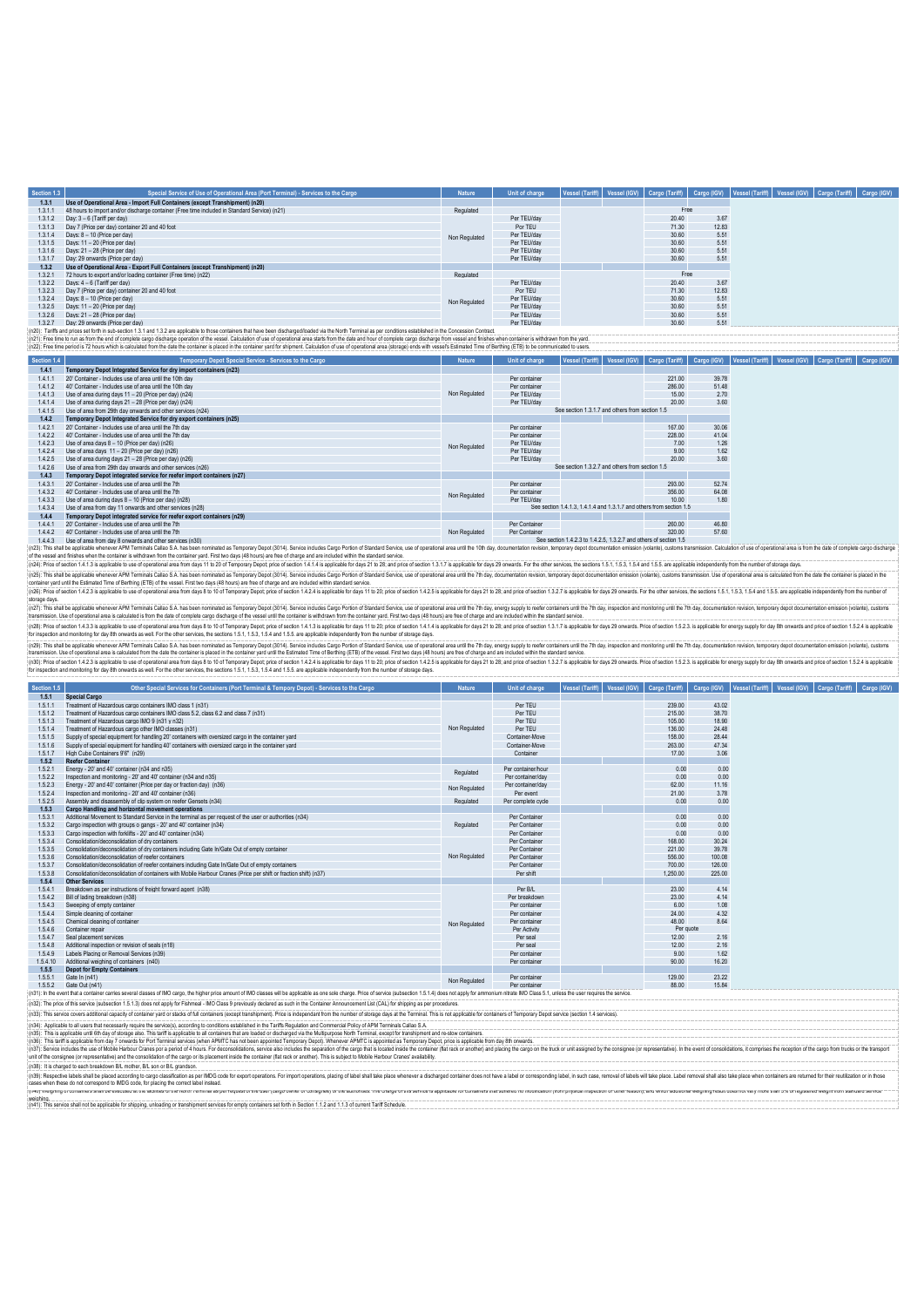| Section 1.3 | Special Service of Use of Operational Area (Port Terminal) - Services to the Cargo                                                                                                                                             | <b>Nature</b> | <b>Unit of charge</b> |                                                                   |                                                                      |             | Vessel (Tariff)   Vessel (IGV)   Cargo (Tariff)   Cargo (IGV)   Vessel (Tariff)   Vessel (IGV)   Cargo (Tariff)   Cargo (IGV) |  |
|-------------|--------------------------------------------------------------------------------------------------------------------------------------------------------------------------------------------------------------------------------|---------------|-----------------------|-------------------------------------------------------------------|----------------------------------------------------------------------|-------------|-------------------------------------------------------------------------------------------------------------------------------|--|
| 1,3.1       | Use of Operational Area - Import Full Containers (except Transhipment) (n20)                                                                                                                                                   |               |                       |                                                                   |                                                                      |             |                                                                                                                               |  |
| 1.3.1.1     | 48 hours to import and/or discharge container (Free time included in Standard Service) (n21)                                                                                                                                   | Regulated     |                       |                                                                   | Free                                                                 |             |                                                                                                                               |  |
| 1.3.1.2     | Day: 3 - 6 (Tariff per day)                                                                                                                                                                                                    |               | Per TEU/day           |                                                                   | 20.40                                                                | 3.67        |                                                                                                                               |  |
| 1.3.1.3     | Day 7 (Price per day) container 20 and 40 foot                                                                                                                                                                                 |               | Por TEU               |                                                                   | 71.30                                                                | 12.83       |                                                                                                                               |  |
| 1.3.1.4     | Days: 8 - 10 (Price per day)                                                                                                                                                                                                   | Non Regulated | Per TEU/dav           |                                                                   | 30.60                                                                | 5.51        |                                                                                                                               |  |
| 1.3.1.5     | Days: 11 - 20 (Price per day)                                                                                                                                                                                                  |               | Per TEU/day           |                                                                   | 30.60                                                                | 5.51        |                                                                                                                               |  |
| 1.3.1.6     | Days: 21 - 28 (Price per day)                                                                                                                                                                                                  |               | Per TEU/dav           |                                                                   | 30.60                                                                | 5.51        |                                                                                                                               |  |
| 1.3.1.7     | Day: 29 onwards (Price per day)                                                                                                                                                                                                |               | Per TEU/dav           |                                                                   | 30.60                                                                | 5.51        |                                                                                                                               |  |
| 1,3.2       | Use of Operational Area - Export Full Containers (except Transhipment) (n20)                                                                                                                                                   |               |                       |                                                                   |                                                                      |             |                                                                                                                               |  |
| 1.3.2.1     | 72 hours to export and/or loading container (Free time) (n22)                                                                                                                                                                  | Regulated     |                       |                                                                   | Free                                                                 |             |                                                                                                                               |  |
| 1322        | Days: 4 - 6 (Tariff per day)                                                                                                                                                                                                   |               | Per TEU/dav           |                                                                   | 20.40                                                                | 3.67        |                                                                                                                               |  |
| 1323        | Day 7 (Price per day) container 20 and 40 foot                                                                                                                                                                                 |               | Por TFU               |                                                                   | 71.30                                                                | 12.83       |                                                                                                                               |  |
| 1324        | Days: 8 - 10 (Price per day)                                                                                                                                                                                                   | Non Regulated | Per TEU/dav           |                                                                   | 30.60                                                                | 5.51        |                                                                                                                               |  |
| 1.3.2.5     | Days: 11 - 20 (Price per day)                                                                                                                                                                                                  |               | Per TEU/dav           |                                                                   | 30.60                                                                | 5.51        |                                                                                                                               |  |
| 1.3.2.6     | Days: 21 - 28 (Price per day)                                                                                                                                                                                                  |               | Per TEU/dav           |                                                                   | 30.60                                                                | 5.51        |                                                                                                                               |  |
| 1.3.2.7     | Day: 29 onwards (Price per day)                                                                                                                                                                                                |               | Per TFU/day           |                                                                   | 30.60                                                                | 5.51        |                                                                                                                               |  |
|             | (n20): Tariffs and prices set forth in sub-section 1.3.1 and 1.3.2 are applicable to those containers that have been discharged/loaded via the North Terminal as per conditions established in the Concession Contract         |               |                       |                                                                   |                                                                      |             |                                                                                                                               |  |
|             | : (n21): Free time to run as from the end of complete cargo discharge operation of the vessel. Calculation of use of operational area starts from the date and hour of complete cargo discharge from vessel and finishes when  |               |                       |                                                                   |                                                                      |             |                                                                                                                               |  |
|             | (n22): Free time period is 72 hours which is calculated from the date the container is placed in the container yard for shipment. Calculation of use of operational area (storage) ends with vessel's Estimated Time of Berthi |               |                       |                                                                   |                                                                      |             |                                                                                                                               |  |
| Section 1.4 | Temporary Depot Special Service - Services to the Cargo                                                                                                                                                                        | <b>Nature</b> | Unit of charge        | Vessel (Tariff)                                                   | Vessel (IGV) Cargo (Tariff)                                          | Cargo (IGV) | Vessel (Tariff)   Vessel (IGV)   Cargo (Tariff)   Cargo (IGV)                                                                 |  |
| 1.4.1       | Temporary Depot Integrated Service for dry import containers (n23)                                                                                                                                                             |               |                       |                                                                   |                                                                      |             |                                                                                                                               |  |
| 1.4.1.1     | 20' Container - Includes use of area until the 10th day                                                                                                                                                                        |               | Per container         |                                                                   | 221.00                                                               | 39.78       |                                                                                                                               |  |
| 1.4.1.2     | 40' Container - Includes use of area until the 10th day                                                                                                                                                                        |               | Per container         |                                                                   | 286.00                                                               | 51.48       |                                                                                                                               |  |
| 1.4.1.3     | Use of area during days 11 - 20 (Price per day) (n24)                                                                                                                                                                          | Non Regulated | Per TEU/day           |                                                                   | 15.00                                                                | 2.70        |                                                                                                                               |  |
| 1.4.1.4     | Use of area during days 21 - 28 (Price per day) (n24)                                                                                                                                                                          |               | Per TEU/day           |                                                                   | 20.00                                                                | 3.60        |                                                                                                                               |  |
| 1415        | Use of area from 29th day onwards and other services (n24)                                                                                                                                                                     |               |                       | See section 1.3.1.7 and others from section 1.5                   |                                                                      |             |                                                                                                                               |  |
| 1.4.2       | Temporary Depot Integrated Service for dry export containers (n25)                                                                                                                                                             |               |                       |                                                                   |                                                                      |             |                                                                                                                               |  |
| 1.4.2.1     | 20' Container - Includes use of area until the 7th day                                                                                                                                                                         |               | Per container         |                                                                   | 167.00                                                               | 30.06       |                                                                                                                               |  |
| 1422        | 40' Container - Includes use of area until the 7th day                                                                                                                                                                         |               | Per container         |                                                                   | 228.00                                                               | 41.04       |                                                                                                                               |  |
| 1423        | Use of area days 8 - 10 (Price per day) (n26)                                                                                                                                                                                  | Non Regulated | Per TEU/dav           |                                                                   | 7.00                                                                 | 1.26        |                                                                                                                               |  |
| 1.4.2.4     | Use of area days 11 - 20 (Price per day) (n26)                                                                                                                                                                                 |               | Per TEU/dav           |                                                                   | 9.00                                                                 | 1.62        |                                                                                                                               |  |
| 1425        | Use of area during days 21 - 28 (Price per day) (n26)                                                                                                                                                                          |               | Per TEU/day           |                                                                   | 20.00                                                                | 3.60        |                                                                                                                               |  |
| 1426        | Use of area from 29th day onwards and other services (n26)                                                                                                                                                                     |               |                       | See section 1.3.2.7 and others from section 1.5                   |                                                                      |             |                                                                                                                               |  |
| 1.4.3       | Temporary Depot integrated service for reefer import containers (n27)                                                                                                                                                          |               |                       |                                                                   |                                                                      |             |                                                                                                                               |  |
| 1.4.3.1     | 20' Container - Includes use of area until the 7th                                                                                                                                                                             |               | Per container         |                                                                   | 293.00                                                               | 52.74       |                                                                                                                               |  |
| 1.4.3.2     | 40' Container - Includes use of area until the 7th                                                                                                                                                                             | Non Regulated | Per container         |                                                                   | 356.00                                                               | 64.08       |                                                                                                                               |  |
| 1.4.3.3     | Use of area during days 8 - 10 (Price per day) (n28)                                                                                                                                                                           |               | Per TEU/dav           |                                                                   | 10.00                                                                | 1.80        |                                                                                                                               |  |
| 1.4.3.4     | Use of area from day 11 onwards and other services (n28)                                                                                                                                                                       |               |                       |                                                                   | See section 1.4.1.3. 1.4.1.4 and 1.3.1.7 and others from section 1.5 |             |                                                                                                                               |  |
| 1.4.4       | Temporary Depot integrated service for reefer export containers (n29)                                                                                                                                                          |               |                       |                                                                   |                                                                      |             |                                                                                                                               |  |
| 1.4.4.1     | 20' Container - Includes use of area until the 7th                                                                                                                                                                             |               | Per Container         |                                                                   | 260.00                                                               | 46.80       |                                                                                                                               |  |
| 1.4.4.2     | 40' Container - Includes use of area until the 7th                                                                                                                                                                             | Non Regulated | Per Container         |                                                                   | 320.00                                                               | 57.60       |                                                                                                                               |  |
| 1.4.4.3     | Use of area from day 8 onwards and other services (n30).                                                                                                                                                                       |               |                       | See section 1.4.2.3 to 1.4.2.5, 1.3.2.7 and others of section 1.5 |                                                                      |             |                                                                                                                               |  |

1.4.4.3 Use of area for my behavior and who converted and the response (not) and a state in my one (2014). Service inducts Cago Portion distributes Care for expressional area until the 10th day, documentation resources in (n26): Price of section 1.4.2.3 is applicable to use of operational area from days 8 to 10 of Temporary Depot; price of section 1.4.2.4 is applicable for days 11 to 20; price of section 1.4.2.5 is applicable for days 21 to (ri2): This ball be got idsolve where APM Temnis Calleo S.A has been cominate as Ferroran Deposit only a Servey about the 20 server of constraints are also that the comparable in the state of change in the comparable in th

storage day.<br>In the and be applicable wheneve APM Terminals Callers S.A has been nominated as Tenpony Depot (3014). Senitos into and the containt Service in the containts and the model of Sandard Service, use of operationa

(n23). This shall be golidab what we had the funnity of the beat beacher in the state of the state of the state of the state of the state of the state of the state of the state of the state of the state of the state of the

| Section 1.5 | Other Special Services for Containers (Port Terminal & Tempory Depot) - Services to the Cargo                                                                                                                                                    | <b>Nature</b> | Unit of charge     | <b>Vessel (Tariff)</b> |           |        | Vessel (IGV) Cargo (Tariff) Cargo (IGV) Vessel (Tariff) Vessel (IGV) Cargo (Tariff) Cargo (IGV) |  |
|-------------|--------------------------------------------------------------------------------------------------------------------------------------------------------------------------------------------------------------------------------------------------|---------------|--------------------|------------------------|-----------|--------|-------------------------------------------------------------------------------------------------|--|
| 1.5.1       | <b>Special Cargo</b>                                                                                                                                                                                                                             |               |                    |                        |           |        |                                                                                                 |  |
| 1.5.1.1     | Treatment of Hazardous cargo containers IMO class 1 (n31)                                                                                                                                                                                        |               | Per TEU            |                        | 239.00    | 43.02  |                                                                                                 |  |
| 1.5.1.2     | Treatment of Hazardous cargo containers IMO class 5.2, class 6.2 and class 7 (n31)                                                                                                                                                               |               | Per TEU            |                        | 215.00    | 38.70  |                                                                                                 |  |
| 1.5.1.3     | Treatment of Hazardous cargo IMO 9 (n31 y n32)                                                                                                                                                                                                   |               | Per TEU            |                        | 105.00    | 18.90  |                                                                                                 |  |
| 1.5.1.4     | Treatment of Hazardous cargo other IMO classes (n31)                                                                                                                                                                                             | Non Regulated | Per TFU            |                        | 136.00    | 24.48  |                                                                                                 |  |
| 1.5.1.5     | Supply of special equipment for handling 20' containers with oversized cargo in the container vard                                                                                                                                               |               | Container-Move     |                        | 158.00    | 28.44  |                                                                                                 |  |
| 1.5.1.6     | Supply of special equipment for handling 40' containers with oversized cargo in the container vard                                                                                                                                               |               | Container-Move     |                        | 263.00    | 47.34  |                                                                                                 |  |
| 1.5.1.7     | High Cube Containers 9'6" (n29)                                                                                                                                                                                                                  |               | Container          |                        | 17.00     | 3.06   |                                                                                                 |  |
| 1.5.2       | <b>Reefer Container</b>                                                                                                                                                                                                                          |               |                    |                        |           |        |                                                                                                 |  |
| 1.5.2.1     | Energy - 20' and 40' container (n34 and n35)                                                                                                                                                                                                     | Regulated     | Per container/hour |                        | 0.00      | 0.00   |                                                                                                 |  |
| 1.5.2.2     | Inspection and monitoring - 20' and 40' container (n34 and n35)                                                                                                                                                                                  |               | Per container/day  |                        | 0.00      | 0.00   |                                                                                                 |  |
| 1.5.2.3     | Energy - 20" and 40" container (Price per day or fraction day) (n36)                                                                                                                                                                             | Non Regulated | Per container/day  |                        | 62.00     | 11.16  |                                                                                                 |  |
| 1.5.2.4     | Inspection and monitoring - 20' and 40' container (n36)                                                                                                                                                                                          |               | Per event          |                        | 21.00     | 3.78   |                                                                                                 |  |
| 1.5.2.5     | Assembly and disassembly of clip system on reefer Gensets (n34)                                                                                                                                                                                  | Regulated     | Per complete cycle |                        | 0.00      | 0.00   |                                                                                                 |  |
| 1,5.3       | Cargo Handling and horizontal movement operations                                                                                                                                                                                                |               |                    |                        |           |        |                                                                                                 |  |
| 1.5.3.1     | Additional Movement to Standard Service in the terminal as per request of the user or authorities (n34)                                                                                                                                          |               | Per Container      |                        | 0.00      | 0.00   |                                                                                                 |  |
| 1.5.3.2     | Cargo inspection with groups o gangs - 20' and 40' container (n34)                                                                                                                                                                               | Regulated     | Per Container      |                        | 0.00      | 0.00   |                                                                                                 |  |
| 1.5.3.3     | Cargo inspection with forklifts - 20' and 40' container (n34)                                                                                                                                                                                    |               | Per Container      |                        | 0.00      | 0.00   |                                                                                                 |  |
| 1.5.3.4     | Consolidation/deconsolidation of dry containers                                                                                                                                                                                                  |               | Per Container      |                        | 168.00    | 30.24  |                                                                                                 |  |
| 1.5.3.5     | Consolidation/deconsolidation of dry containers including Gate In/Gate Out of empty container                                                                                                                                                    |               | Per Container      |                        | 221.00    | 39.78  |                                                                                                 |  |
| 1.5.3.6     | Consolidation/deconsolidation of reefer containers                                                                                                                                                                                               | Non Regulated | Per Container      |                        | 556.00    | 100.08 |                                                                                                 |  |
| 1.5.3.7     | Consolidation/deconsolidation of reefer containers including Gate In/Gate Out of empty containers                                                                                                                                                |               | Per Container      |                        | 700.00    | 126.00 |                                                                                                 |  |
| 1.5.3.8     | Consolidation/deconsolidation of containers with Mobile Harbour Cranes (Price per shift or fraction shift) (n37)                                                                                                                                 |               | Per shift          |                        | 1,250.00  | 225.00 |                                                                                                 |  |
| 1.5.4       | <b>Other Services</b>                                                                                                                                                                                                                            |               |                    |                        |           |        |                                                                                                 |  |
| 1.5.4.1     | Breakdown as per instructions of freight forward agent (n38)                                                                                                                                                                                     |               | Per R/I            |                        | 23.00     | 4.14   |                                                                                                 |  |
| 1.5.4.2     | Bill of lading breakdown (n38)                                                                                                                                                                                                                   |               | Per breakdown      |                        | 23.00     | 4.14   |                                                                                                 |  |
| 1.5.4.3     | Sweeping of empty container                                                                                                                                                                                                                      |               | Per container      |                        | 6.00      | 1.08   |                                                                                                 |  |
| 1.5.4.4     | Simple cleaning of container                                                                                                                                                                                                                     |               | Per container      |                        | 24.00     | 4.32   |                                                                                                 |  |
| 1.5.4.5     | Chemical cleaning of container                                                                                                                                                                                                                   | Non Regulated | Per container      |                        | 48.00     | 8.64   |                                                                                                 |  |
| 1.5.4.6     | Container repair                                                                                                                                                                                                                                 |               | Per Activity       |                        | Per quote |        |                                                                                                 |  |
| 1.5.4.7     | Seal placement services                                                                                                                                                                                                                          |               | Per seal           |                        | 12.00     | 2.16   |                                                                                                 |  |
| 1.5.4.8     | Additional inspection or revision of seals (n18)                                                                                                                                                                                                 |               | Per seal           |                        | 12.00     | 2.16   |                                                                                                 |  |
| 1.5.4.9     | Labels Placing or Removal Services (n39)                                                                                                                                                                                                         |               | Per container      |                        | 9.00      | 1.62   |                                                                                                 |  |
| 1.5.4.10    | Additional weighing of containers (n40)                                                                                                                                                                                                          |               | Per container      |                        | 90.00     | 16.20  |                                                                                                 |  |
| 1.5.5       | <b>Depot for Empty Containers</b>                                                                                                                                                                                                                |               |                    |                        |           |        |                                                                                                 |  |
| 1.5.5.1     | Gate In (n41)                                                                                                                                                                                                                                    | Non Regulated | Per container      |                        | 129.00    | 23.22  |                                                                                                 |  |
| 1.5.5.2     | Gate Out (n41)<br>in31): In the event that a container cerring equaral clapped cf IMO carry. the higher nice amount of IMO clapped will be applicable as one cole charge. Drive of equipmention 1.51 A) does not applied for amounting this best |               | Per container      |                        | 88.00     | 15.84  |                                                                                                 |  |

(n31): In the event that a container carries several classes of IMO cargo, the higher price amount of IMO classes will be applicable as one sole charge. Price of service (subsection 1.5.1.4) does not apply for ammonium nit (n3). This service covers additional capacity of content yard or states of full conditions estimations estimation in the Similation and Commercial Policy of APM Terminis Calico S.A.<br>(n36): This applicable under a law of th

(135): It scharged to each breadown BL mone; BL son or BL gandson.<br>Law the mone to all the production of the file and the file of the money MDG code for export post on those mon<br>cases when these donclonespend bMDG code, fo weloning.<br>(n41): This service shall not be applicable for shipping, unloading or transhipment services for empty containers set forth in Section 1.1.2 and 1.1.3 of current Tariff Schedule.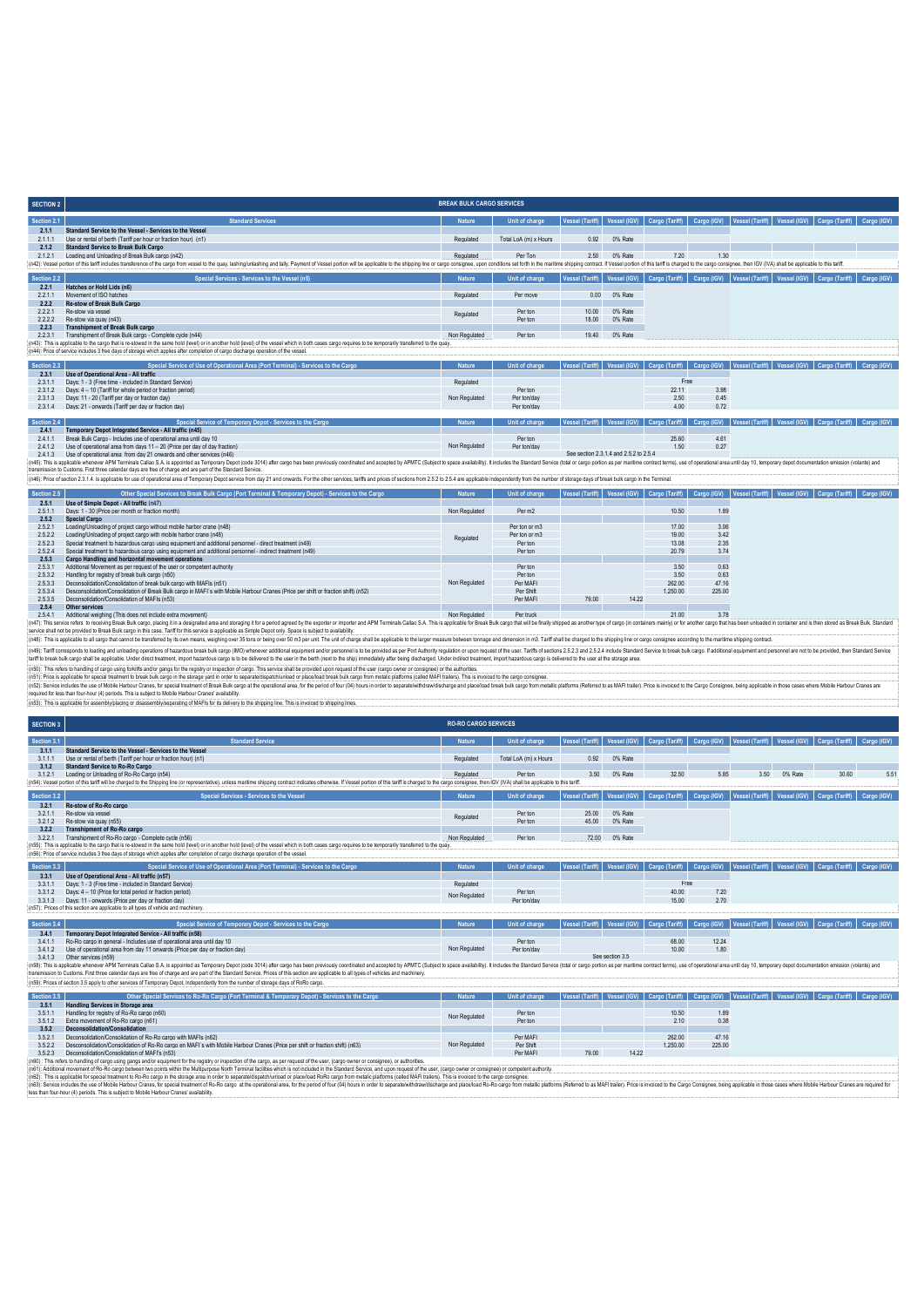| <b>SECTION 2</b> |                                                                                                                                                                                                                                | <b>BREAK BULK CARGO SERVICES</b> |                       |       |         |                                                                                                                 |      |  |             |
|------------------|--------------------------------------------------------------------------------------------------------------------------------------------------------------------------------------------------------------------------------|----------------------------------|-----------------------|-------|---------|-----------------------------------------------------------------------------------------------------------------|------|--|-------------|
| Section 2.1      | <b>Standard Services</b>                                                                                                                                                                                                       | <b>Nature</b>                    | Unit of charge        |       |         | Vessel (Tariff) Vessel (IGV) Cargo (Tariff) Cargo (IGV) Vessel (Tariff) Vessel (IGV) Cargo (Tariff)             |      |  | Cargo (IGV) |
| 2.1.1            | Standard Service to the Vessel - Services to the Vessel                                                                                                                                                                        |                                  |                       |       |         |                                                                                                                 |      |  |             |
| 2111             | Use or rental of berth (Tariff per hour or fraction hour) (n1)                                                                                                                                                                 | Regulated                        | Total LoA (m) x Hours | 0.92  | 0% Rate |                                                                                                                 |      |  |             |
| 2.1.2            | <b>Standard Service to Break Bulk Cargo</b>                                                                                                                                                                                    |                                  |                       |       |         |                                                                                                                 |      |  |             |
| 2121             | Loading and Unloading of Break Bulk cargo (n42)                                                                                                                                                                                | Regulated                        | Per Ton               | 2.50  | 0% Rate | 7.20                                                                                                            | 1.30 |  |             |
|                  | (n42): Vessel portion of this tariff includes transference of the cargo from vessel to the quay, lashinglunlashing and tally. Payment of Vessel portion will be applicable to the shipping line or cargo consignee, upon condi |                                  |                       |       |         |                                                                                                                 |      |  |             |
|                  |                                                                                                                                                                                                                                |                                  |                       |       |         |                                                                                                                 |      |  |             |
| Section 2.2      | Special Services - Services to the Vessel (n5)                                                                                                                                                                                 | <b>Nature</b>                    | Unit of charge        |       |         | Vessel (Tariff)   Vessel (IGV)   Cargo (Tariff)   Cargo (IGV)   Vessel (Tariff)   Vessel (IGV)   Cargo (Tariff) |      |  | Cargo (IGV) |
| 2.2.1            | Hatches or Hold Lids (n6)                                                                                                                                                                                                      |                                  |                       |       |         |                                                                                                                 |      |  |             |
| 2211             | Movement of ISO hatches                                                                                                                                                                                                        | Regulated                        | Per move              | 0.00  | 0% Rate |                                                                                                                 |      |  |             |
| 2.2.2            | Re-stow of Break Bulk Cargo                                                                                                                                                                                                    |                                  |                       |       |         |                                                                                                                 |      |  |             |
| 2221             | Re-stow via vessel                                                                                                                                                                                                             | Regulated                        | Per ton               | 10.00 | 0% Rate |                                                                                                                 |      |  |             |
| 2222             | Re-stow via quay (n43)                                                                                                                                                                                                         |                                  | Per ton               | 18.00 | 0% Rate |                                                                                                                 |      |  |             |
| 2.2.3            | <b>Transhipment of Break Bulk cargo</b>                                                                                                                                                                                        |                                  |                       |       |         |                                                                                                                 |      |  |             |
| 2231             | Transhipment of Break Bulk cargo - Complete cycle (n44)                                                                                                                                                                        | Non Regulated                    | Per ton               | 19.40 | 0% Rate |                                                                                                                 |      |  |             |
|                  | (n43): This is applicable to the cargo that is re-stowed in the same hold (level) or in another hold (level) of the vessel which in both cases cargo requires to be temporarily transferred to the quay.                       |                                  |                       |       |         |                                                                                                                 |      |  |             |
|                  | (n44): Price of service includes 3 free days of storage which applies after completion of cargo discharge operation of the vessel.                                                                                             |                                  |                       |       |         |                                                                                                                 |      |  |             |

| Section 2.3 | Special Service of Use of Operational Area (Port Terminal) - Services to the Cargo | <b>Nature</b> | Unit of charge        |                                  |       |      | Vessel (Tariff)   Vessel (IGV)   Cargo (Tariff)   Cargo (IGV)   Vessel (Tariff)   Vessel (IGV)   Cargo (Tariff)   Cargo (IGV)       |  |
|-------------|------------------------------------------------------------------------------------|---------------|-----------------------|----------------------------------|-------|------|-------------------------------------------------------------------------------------------------------------------------------------|--|
| 2.3.1       | Use of Operational Area - All traffic                                              |               |                       |                                  |       |      |                                                                                                                                     |  |
| 2.31'       | Days: 1 - 3 (Free time - included in Standard Service)                             | Regulated     |                       |                                  | Free  |      |                                                                                                                                     |  |
| 2312        | Days: 4 - 10 (Tariff for whole period or fraction period)                          |               | Per ton               |                                  | 22.11 | 3.98 |                                                                                                                                     |  |
| 2.3.1.3     | Days: 11 - 20 (Tariff per day or fraction day)                                     | Non Regulated | Per ton/day           |                                  | 2.50  | 0.45 |                                                                                                                                     |  |
| 2314        | Days: 21 - onwards (Tariff per day or fraction day)                                |               | Per ton/day           |                                  | 4.00  | 0.72 |                                                                                                                                     |  |
|             |                                                                                    |               |                       |                                  |       |      |                                                                                                                                     |  |
| Section 2.4 | Special Service of Temporary Depot - Services to the Cargo                         | <b>Nature</b> | <b>Unit of charge</b> |                                  |       |      | ı │ Vessel (Tariff) │ Vessel (IGV) │ Cargo (Tariff) │ Cargo (IGV) │ Vessel (Tariff) │ Vessel (IGV) │ Cargo (Tariff) │ Cargo (IGV) │ |  |
| 2.4.1       | Temporary Depot Integrated Service - All traffic (n45)                             |               |                       |                                  |       |      |                                                                                                                                     |  |
| 241         | Break Bulk Cargo - Includes use of operational area until day 10                   |               | Per ton               |                                  | 25.60 | 4.61 |                                                                                                                                     |  |
| 2412        | Use of operational area from days 11 - 20 (Price per day of day fraction)          | Non Regulated | Per ton/day           |                                  | 1.50  | 0.27 |                                                                                                                                     |  |
|             | 0.4.1.2 Use of operational great from day 21 opwards and athor services (p.48)     |               |                       | See cection 231 A and 252 to 254 |       |      |                                                                                                                                     |  |

2.4.1.3 Use of operational area from day 2 newsday of other services and other services (n46). Sharehold to the services of the company operation and accepted and accepted on ARITC (Subject to space availability). It inclu

| Section 2.5 | Other Special Services to Break Bulk Cargo (Port Terminal & Temporary Depot) - Services to the Cargo                                                                                                                           | <b>Nature</b> | Unit of charge |       |       |          |        | Vessel (Tariff)   Vessel (IGV)   Cargo (Tariff)   Cargo (IGV)   Vessel (Tariff)   Vessel (IGV)   Cargo (Tariff)   Cargo (IGV) |  |
|-------------|--------------------------------------------------------------------------------------------------------------------------------------------------------------------------------------------------------------------------------|---------------|----------------|-------|-------|----------|--------|-------------------------------------------------------------------------------------------------------------------------------|--|
| 2.5.1       | Use of Simple Depot - All traffic (n47)                                                                                                                                                                                        |               |                |       |       |          |        |                                                                                                                               |  |
| 2.5.1.      | Days: 1 - 30 (Price per month or fraction month)                                                                                                                                                                               | Non Regulated | Per m2         |       |       | 10.50    | 1.89   |                                                                                                                               |  |
| 2.5.2       | <b>Special Cargo</b>                                                                                                                                                                                                           |               |                |       |       |          |        |                                                                                                                               |  |
| 2521        | Loading/Unloading of project cargo without mobile harbor crane (n48)                                                                                                                                                           |               | Per ton or m3  |       |       | 17.00    | 3.06   |                                                                                                                               |  |
| 2.5.2.2     | Loading/Unloading of project cargo with mobile harbor crane (n48)                                                                                                                                                              | Regulated     | Per ton or m3  |       |       | 19.00    | 3.42   |                                                                                                                               |  |
| 2.5.2.3     | Special treatment to hazardous cargo using equipment and additional personnel - direct treatment (n49)                                                                                                                         |               | Per ton        |       |       | 13.08    | 2.35   |                                                                                                                               |  |
| 2524        | Special treatment to hazardous cargo using equipment and additional personnel - indirect treatment (n49)                                                                                                                       |               | Per ton        |       |       | 20.79    | 374    |                                                                                                                               |  |
| 2.5.3       | Cargo Handling and horizontal movement operations                                                                                                                                                                              |               |                |       |       |          |        |                                                                                                                               |  |
| 2.5.3.1     | Additional Movement as per request of the user or competent authority                                                                                                                                                          |               | Per ton        |       |       | 3.50     | 0.63   |                                                                                                                               |  |
| 2.5.3.2     | Handling for registry of break bulk cargo (n50)                                                                                                                                                                                |               | Per ton        |       |       | 3.50     | 0.63   |                                                                                                                               |  |
| 2.5.3.3     | Deconsolidation/Consolidation of break bulk cargo with MAFIs (n51)                                                                                                                                                             | Non Regulated | Per MAFI       |       |       | 262.00   | 47.16  |                                                                                                                               |  |
| 2534        | Desconsolidation/Consolidation of Break Bulk cargo in MAFI's with Mobile Harbour Cranes (Price per shift or fraction shift) (n52)                                                                                              |               | Per Shift      |       |       | 1,250.00 | 225.00 |                                                                                                                               |  |
| 2535        | Deconsolidation/Consolidation of MAFIs (n53)                                                                                                                                                                                   |               | Per MAFI       | 79.00 | 14.22 |          |        |                                                                                                                               |  |
| 2.5.4       | Other services                                                                                                                                                                                                                 |               |                |       |       |          |        |                                                                                                                               |  |
| 2541        | Additional weighing (This does not include extra movement)                                                                                                                                                                     | Non Regulated | Per truck      |       |       | 21.00    | 3.78   |                                                                                                                               |  |
|             | (n47): This service refers to receiving Break Bulk cargo, placing it in a designated area and storaging it for a period agreed by the exporter or importer and APM Terminals Callao S.A. This is applicable for Break Bulk car |               |                |       |       |          |        |                                                                                                                               |  |

(^47). This service refers to receiving Deak Bulk cargo, placing this absignable area and storaging it for a priod ayered by the exporter or importer and APM Terminis Callao S.A. This is applicable to reak bluk can absolve (MS): Talf corresposits because and under provided that account the stable and server and the proposers and the proposers are the server and the server and the server and the server and the server and the server and the se

(nSU; This respland for a computer and the main formula in the resist of main of the respland in the product of computers are allotted to the computers and the product of the computers and the product of the computers are required for less than four-hour (4) periods. This is subject to Mobile Harbour Cranes' availability.<br>[n53]: This is applicable for assembly/placing or disassembly/separating of MAFIs for its delivery to the shipping line.

| <b>SECTION 3</b> |                                                                                                                                                                                                                                | <b>RO-RO CARGO SERVICES</b> |                       |                        |                 |                                                                                                                 |       |                                                         |         |                                                                                |             |
|------------------|--------------------------------------------------------------------------------------------------------------------------------------------------------------------------------------------------------------------------------|-----------------------------|-----------------------|------------------------|-----------------|-----------------------------------------------------------------------------------------------------------------|-------|---------------------------------------------------------|---------|--------------------------------------------------------------------------------|-------------|
| Section 3.1      | <b>Standard Service</b>                                                                                                                                                                                                        | <b>Nature</b>               | Unit of charge        | <b>Vessel (Tariff)</b> | Vessel (IGV)    | Cargo (Tariff)                                                                                                  |       | Cargo (IGV) Vessel (Tariff) Vessel (IGV) Cargo (Tariff) |         |                                                                                | Cargo (IGV) |
| 3.1.1            | Standard Service to the Vessel - Services to the Vessel                                                                                                                                                                        |                             |                       |                        |                 |                                                                                                                 |       |                                                         |         |                                                                                |             |
| 3111             | Use or rental of berth (Tariff per hour or fraction hour) (n1)                                                                                                                                                                 | Regulated                   | Total LoA (m) x Hours | 0.92                   | 0% Rate         |                                                                                                                 |       |                                                         |         |                                                                                |             |
| 3.1.2            | <b>Standard Service to Ro-Ro Cargo</b>                                                                                                                                                                                         |                             |                       |                        |                 |                                                                                                                 |       |                                                         |         |                                                                                |             |
| 3.1.2.1          | Loading or Unloading of Ro-Ro Cargo (n54)                                                                                                                                                                                      | Regulated                   | Per ton               | 3.50                   | 0% Rate         | 32.50                                                                                                           | 5.85  | 3.50                                                    | 0% Rate | 30.60                                                                          | 5.51        |
|                  | : (n54): Vessel portion of this tariff will be charged to the Shipping line (or representative), unless maritime shipping contract indicates otherwise. If Vessel portion of this tariff is charged to the cargo consignee, th |                             |                       |                        |                 |                                                                                                                 |       |                                                         |         |                                                                                |             |
| Section 3.2      | Special Services - Services to the Vessel                                                                                                                                                                                      | <b>Nature</b>               | <b>Unit of charge</b> | <b>Vessel (Tariff)</b> | Vessel (IGV)    |                                                                                                                 |       |                                                         |         | Cargo (Tariff)   Cargo (IGV)   Vessel (Tariff)   Vessel (IGV)   Cargo (Tariff) | Cargo (IGV) |
| 3.2.1            | Re-stow of Ro-Ro cargo                                                                                                                                                                                                         |                             |                       |                        |                 |                                                                                                                 |       |                                                         |         |                                                                                |             |
| 3211             | Re-stow via vessel                                                                                                                                                                                                             | Regulated                   | Per ton               | 25.00                  | 0% Rate         |                                                                                                                 |       |                                                         |         |                                                                                |             |
| 3212             | Re-stow via quay (n55)                                                                                                                                                                                                         |                             | Per ton               | 45.00                  | 0% Rate         |                                                                                                                 |       |                                                         |         |                                                                                |             |
| 3.2.2            | <b>Transhipment of Ro-Ro cargo</b>                                                                                                                                                                                             |                             |                       |                        |                 |                                                                                                                 |       |                                                         |         |                                                                                |             |
| 3.2.2.1          | Transhipment of Ro-Ro cargo - Complete cycle (n56)                                                                                                                                                                             | Non Regulated               | Per ton               | 72.00                  | 0% Rate         |                                                                                                                 |       |                                                         |         |                                                                                |             |
|                  | (n55): This is applicable to the cargo that is re-stowed in the same hold (level) or in another hold (level) of the vessel which in both cases cargo requires to be temporarily transferred to the quay.                       |                             |                       |                        |                 |                                                                                                                 |       |                                                         |         |                                                                                |             |
|                  | (n56): Price of service includes 3 free days of storage which applies after completion of cargo discharge operation of the vessel.                                                                                             |                             |                       |                        |                 |                                                                                                                 |       |                                                         |         |                                                                                |             |
| Section 3.3      | Special Service of Use of Operational Area (Port Terminal) - Services to the Cargo                                                                                                                                             | <b>Nature</b>               | <b>Unit of charge</b> | <b>Vessel (Tariff)</b> | Vessel (IGV)    | Cargo (Tariff)                                                                                                  |       |                                                         |         | Cargo (IGV)   Vessel (Tariff)   Vessel (IGV)   Cargo (Tariff)                  | Cargo (IGV) |
| 3.3.1            | Use of Operational Area - All traffic (n57)                                                                                                                                                                                    |                             |                       |                        |                 |                                                                                                                 |       |                                                         |         |                                                                                |             |
| 3.3.1.1          | Days: 1 - 3 (Free time - included in Standard Service)                                                                                                                                                                         | Regulated                   |                       |                        |                 | Free                                                                                                            |       |                                                         |         |                                                                                |             |
| 3312             | Days: 4 - 10 (Price for total period or fraction period)                                                                                                                                                                       | Non Regulated               | Per ton               |                        |                 | 40.00                                                                                                           | 7.20  |                                                         |         |                                                                                |             |
| 3313             | Days: 11 - onwards (Price per day or fraction day)                                                                                                                                                                             |                             | Per ton/day           |                        |                 | 15.00                                                                                                           | 2.70  |                                                         |         |                                                                                |             |
|                  | (n57): Prices of this section are applicable to all types of vehicle and machinery.                                                                                                                                            |                             |                       |                        |                 |                                                                                                                 |       |                                                         |         |                                                                                |             |
| Section 3.4      | Special Service of Temporary Depot - Services to the Cargo                                                                                                                                                                     | <b>Nature</b>               | <b>Unit of charge</b> | <b>Vessel (Tariff)</b> | Vessel (IGV)    | Cargo (Tariff) Cargo (IGV)                                                                                      |       | Vessel (Tariff)   Vessel (IGV)   Cargo (Tariff)         |         |                                                                                | Cargo (IGV) |
| 3.4.1            | Temporary Depot Integrated Service - All traffic (n58)                                                                                                                                                                         |                             |                       |                        |                 |                                                                                                                 |       |                                                         |         |                                                                                |             |
| 3.4.1.1          | Ro-Ro cargo in general - Includes use of operational area until day 10                                                                                                                                                         |                             | Per ton               |                        |                 | 68.00                                                                                                           | 12.24 |                                                         |         |                                                                                |             |
| 3.4.1.2          | Use of operational area from day 11 onwards (Price per day or fraction day)                                                                                                                                                    | Non Regulated               | Per ton/day           |                        |                 | 10.00                                                                                                           | 1.80  |                                                         |         |                                                                                |             |
| 3.4.1.3          | Other services (n59)                                                                                                                                                                                                           |                             |                       |                        | See section 3.5 |                                                                                                                 |       |                                                         |         |                                                                                |             |
|                  | (n58): This is applicable whenever APM Terminals Callao S.A. is appointed as Temporary Depot (code 3014) after cargo has been previously coordinated and accepted by APMTC (Subject to space availability). It includes the St |                             |                       |                        |                 |                                                                                                                 |       |                                                         |         |                                                                                |             |
|                  | transmission to Customs. First three calendar days are free of charge and are part of the Standard Service. Prices of this section are applicable to all types of vehicles and machinery.                                      |                             |                       |                        |                 |                                                                                                                 |       |                                                         |         |                                                                                |             |
|                  | (n59): Prices of section 3.5 apply to other services of Temporary Depot, independently from the number of storage days of RoRo cargo.                                                                                          |                             |                       |                        |                 |                                                                                                                 |       |                                                         |         |                                                                                |             |
| Section 3.5      | Other Special Services to Ro-Ro Cargo (Port Terminal & Temporary Depot) - Services to the Cargo                                                                                                                                | <b>Nature</b>               | Unit of charge        |                        |                 | Vessel (Tariff)   Vessel (IGV)   Cargo (Tariff)   Cargo (IGV)   Vessel (Tariff)   Vessel (IGV)   Cargo (Tariff) |       |                                                         |         |                                                                                | Cargo (IGV) |
| 3.5.1            | Handling Services in Storage area                                                                                                                                                                                              |                             |                       |                        |                 |                                                                                                                 |       |                                                         |         |                                                                                |             |
| 3.5.1            | Handling for registry of Ro-Ro cargo (n60)                                                                                                                                                                                     | Non Regulated               | Per ton               |                        |                 | 10.50                                                                                                           | 1.89  |                                                         |         |                                                                                |             |
| 3.5.1.2          | Extra movement of Ro-Ro cargo (n61)                                                                                                                                                                                            |                             | Per ton               |                        |                 | 2.10                                                                                                            | 0.38  |                                                         |         |                                                                                |             |
|                  |                                                                                                                                                                                                                                |                             |                       |                        |                 |                                                                                                                 |       |                                                         |         |                                                                                |             |

3.5.12 Deconsolidation Consolidation<br>3.5.23 Deconsolidation Consolidation (Re-Ro cargo en MAFIs (nS2)<br>3.5.23 Deconsolidation Consolidation (Re-Ro cargo en MAFIs (nS2)<br>3.5.23 Deconsolidation Consolidation (Re-Ro cargo en MA

Non Regulated